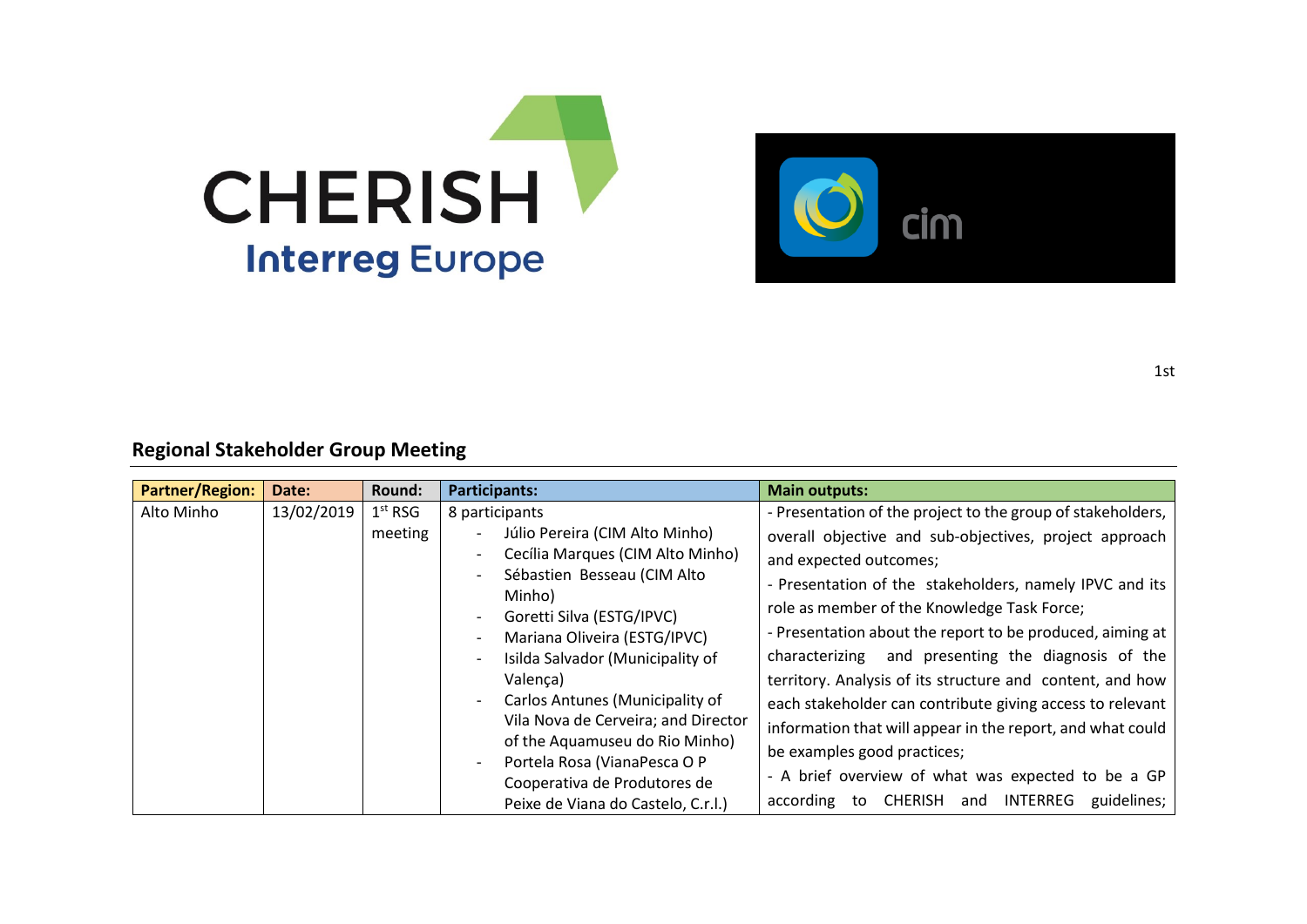



**Regional Stakeholder Group Meeting**

| <b>Partner/Region:</b> | Date:      | Round:              | Participants:                                                | <b>Main outputs:</b>                                        |
|------------------------|------------|---------------------|--------------------------------------------------------------|-------------------------------------------------------------|
| Alto Minho             | 13/02/2019 | 1 <sup>st</sup> RSG | 8 participants                                               | - Presentation of the project to the group of stakeholders, |
|                        |            | meeting             | Júlio Pereira (CIM Alto Minho)                               | overall objective and sub-objectives, project approach      |
|                        |            |                     | Cecília Marques (CIM Alto Minho)                             | and expected outcomes;                                      |
|                        |            |                     | Sébastien Besseau (CIM Alto<br>Minho)                        | - Presentation of the stakeholders, namely IPVC and its     |
|                        |            |                     | Goretti Silva (ESTG/IPVC)                                    | role as member of the Knowledge Task Force;                 |
|                        |            |                     | Mariana Oliveira (ESTG/IPVC)                                 | - Presentation about the report to be produced, aiming at   |
|                        |            |                     | Isilda Salvador (Municipality of                             | and presenting the diagnosis of the<br>characterizing       |
|                        |            |                     | Valença)                                                     | territory. Analysis of its structure and content, and how   |
|                        |            |                     | Carlos Antunes (Municipality of                              | each stakeholder can contribute giving access to relevant   |
|                        |            |                     | Vila Nova de Cerveira; and Director                          | information that will appear in the report, and what could  |
|                        |            |                     | of the Aquamuseu do Rio Minho)                               | be examples good practices;                                 |
|                        |            |                     | Portela Rosa (VianaPesca O P<br>Cooperativa de Produtores de | - A brief overview of what was expected to be a GP          |
|                        |            |                     | Peixe de Viana do Castelo, C.r.l.)                           | CHERISH and INTERREG guidelines;<br>according to            |

1st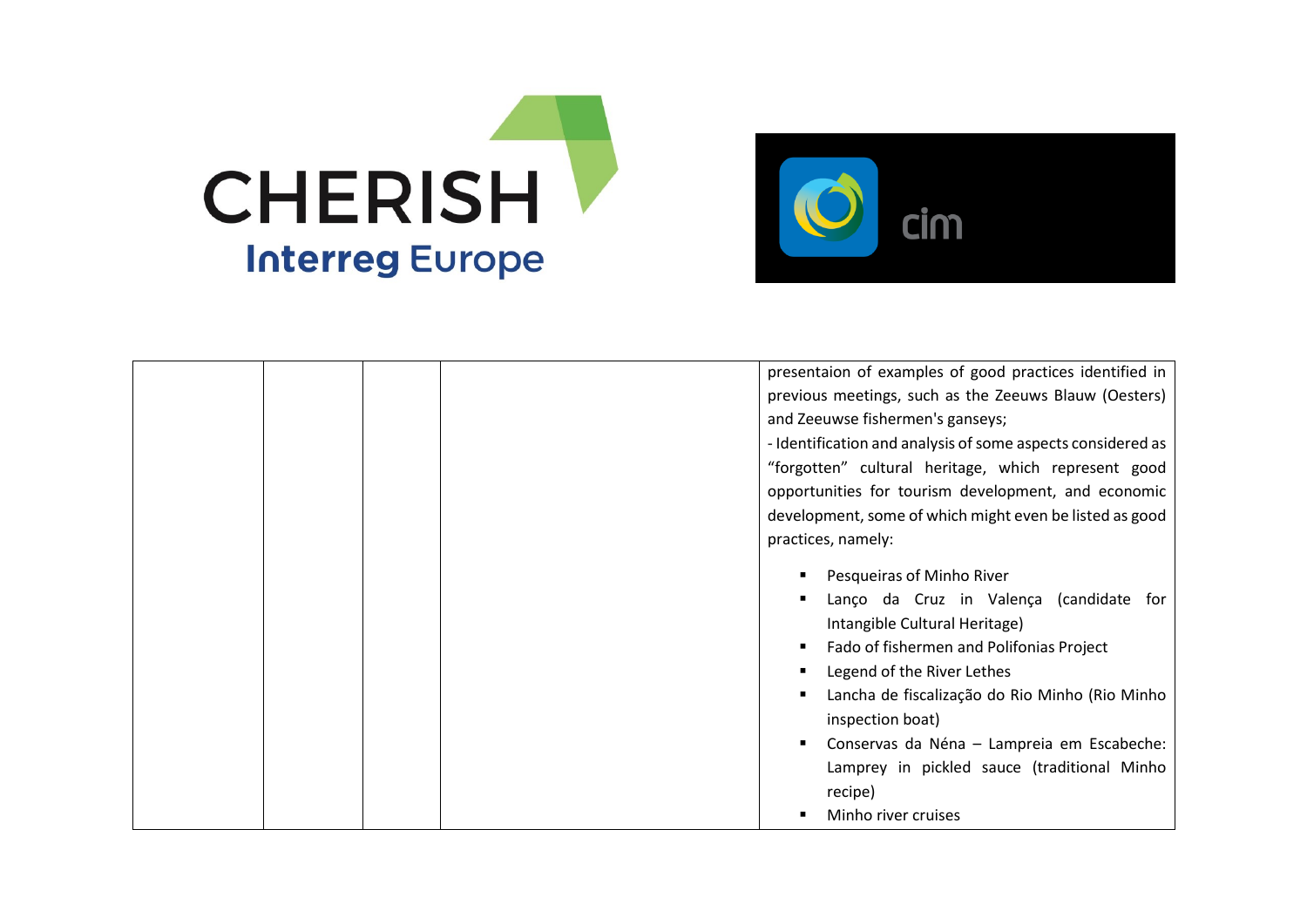



|  | presentaion of examples of good practices identified in     |
|--|-------------------------------------------------------------|
|  | previous meetings, such as the Zeeuws Blauw (Oesters)       |
|  | and Zeeuwse fishermen's ganseys;                            |
|  | - Identification and analysis of some aspects considered as |
|  | "forgotten" cultural heritage, which represent good         |
|  | opportunities for tourism development, and economic         |
|  | development, some of which might even be listed as good     |
|  | practices, namely:                                          |
|  | Pesqueiras of Minho River                                   |
|  | Lanço da Cruz in Valença (candidate for                     |
|  | Intangible Cultural Heritage)                               |
|  | Fado of fishermen and Polifonias Project                    |
|  | Legend of the River Lethes                                  |
|  | Lancha de fiscalização do Rio Minho (Rio Minho              |
|  | inspection boat)                                            |
|  | Conservas da Néna - Lampreia em Escabeche:                  |
|  | Lamprey in pickled sauce (traditional Minho                 |
|  | recipe)                                                     |
|  | Minho river cruises                                         |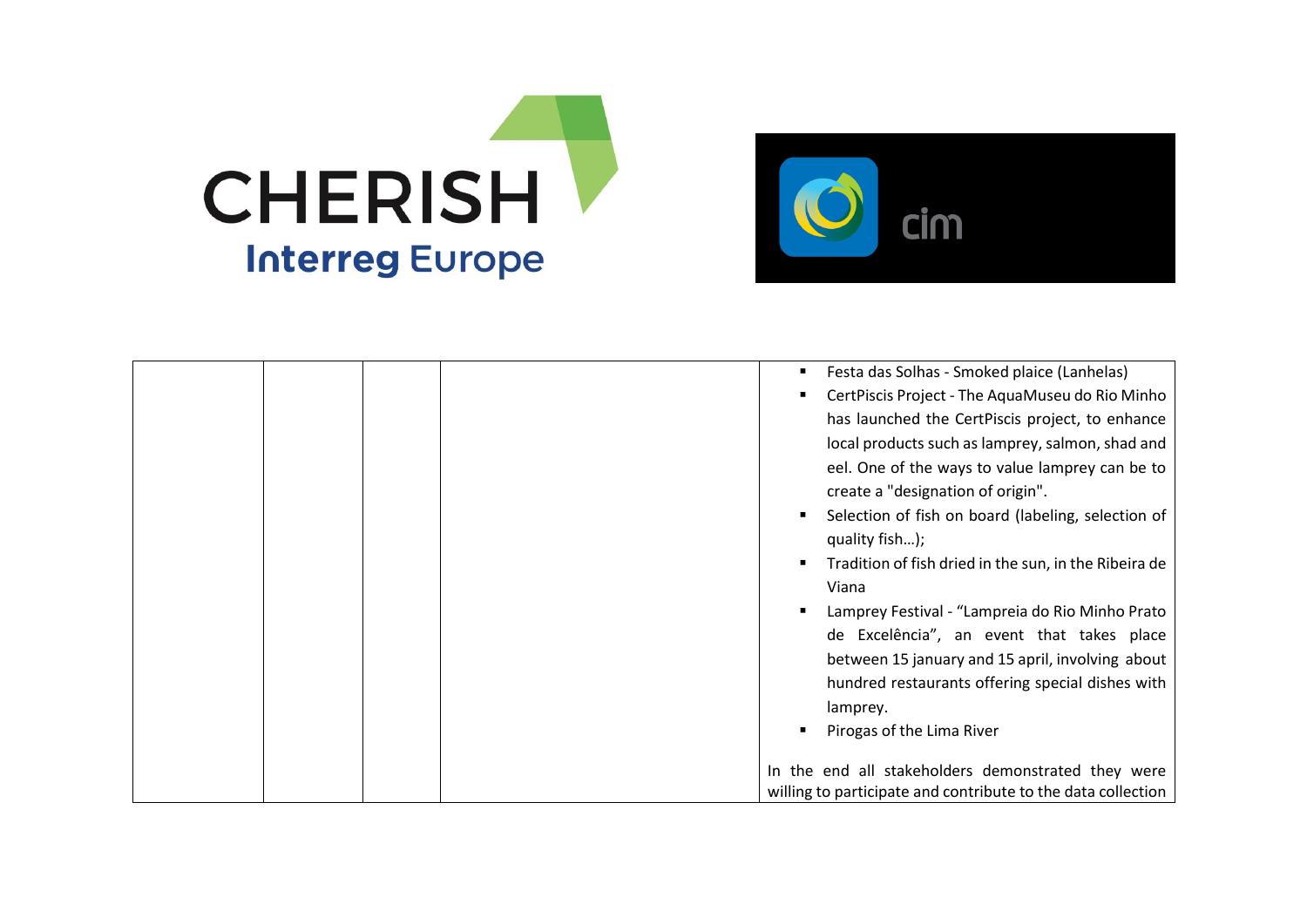



|  | Festa das Solhas - Smoked plaice (Lanhelas)                                          |
|--|--------------------------------------------------------------------------------------|
|  | CertPiscis Project - The AquaMuseu do Rio Minho                                      |
|  | has launched the CertPiscis project, to enhance                                      |
|  | local products such as lamprey, salmon, shad and                                     |
|  | eel. One of the ways to value lamprey can be to<br>create a "designation of origin". |
|  | Selection of fish on board (labeling, selection of                                   |
|  | quality fish);                                                                       |
|  | Tradition of fish dried in the sun, in the Ribeira de                                |
|  | Viana                                                                                |
|  | Lamprey Festival - "Lampreia do Rio Minho Prato                                      |
|  | de Excelência", an event that takes place                                            |
|  | between 15 january and 15 april, involving about                                     |
|  | hundred restaurants offering special dishes with                                     |
|  | lamprey.                                                                             |
|  | Pirogas of the Lima River                                                            |
|  | In the end all stakeholders demonstrated they were                                   |
|  | willing to participate and contribute to the data collection                         |